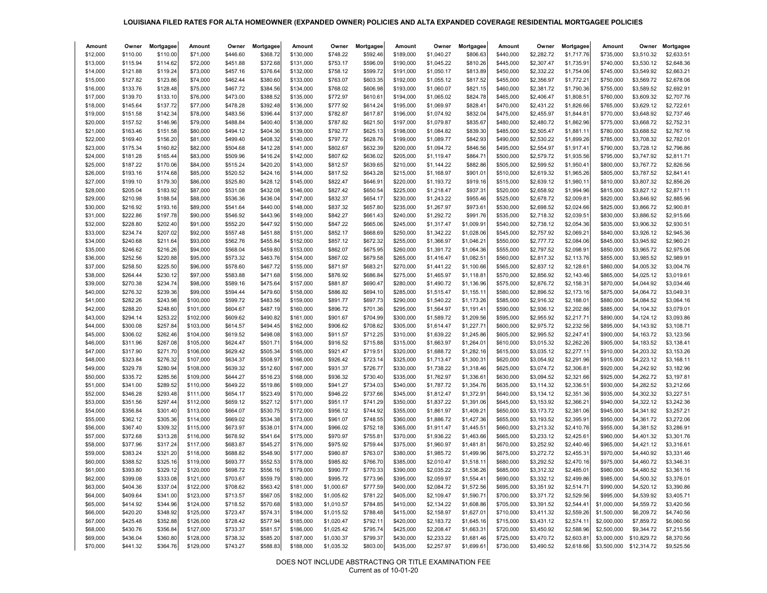## **LOUISIANA FILED RATES FOR ALTA HOMEOWNER (EXPANDED OWNER) POLICIES AND ALTA EXPANDED COVERAGE RESIDENTIAL MORTGAGEE POLICIES**

| Amount               | Owner                | Mortgagee            | Amount               | Owner                | Mortgagee            | Amount                 | Owner                | Mortgagee            | Amount                 | Owner                    | Mortgagee                | Amount                 | Owner                    | Mortgagee               | Amount                 | Owner                    | Mortgagee                |
|----------------------|----------------------|----------------------|----------------------|----------------------|----------------------|------------------------|----------------------|----------------------|------------------------|--------------------------|--------------------------|------------------------|--------------------------|-------------------------|------------------------|--------------------------|--------------------------|
| \$12,000             | \$110.00             | \$110.00             | \$71,000             | \$446.60             | \$368.72             | \$130,000              | \$748.22             | \$592.46             | \$189,000              | \$1,040.27               | \$806.63                 | \$440,000              | \$2,282.72               | \$1,717.76              | \$735,000              | \$3,510.32               | \$2,633.51               |
| \$13,000             | \$115.94             | \$114.62             | \$72,000             | \$451.88             | \$372.68             | \$131,000              | \$753.17             | \$596.09             | \$190,000              | \$1,045.22               | \$810.26                 | \$445,000              | \$2,307.47               | \$1,735.9'              | \$740,000              | \$3,530.12               | \$2,648.36               |
| \$14,000             | \$121.88             | \$119.24             | \$73,000             | \$457.16             | \$376.64             | \$132,000              | \$758.12             | \$599.72             | \$191,000              | \$1,050.17               | \$813.89                 | \$450,000              | \$2,332.22               | \$1,754.06              | \$745,000              | \$3,549.92               | \$2,663.21               |
| \$15,000             | \$127.82             | \$123.86             | \$74,000             | \$462.44             | \$380.60             | \$133,000              | \$763.07             | \$603.35             | \$192,000              | \$1,055.12               | \$817.52                 | \$455,000              | \$2,356.97               | \$1,772.21              | \$750,000              | \$3,569.72               | \$2,678.06               |
| \$16,000             | \$133.76             | \$128.48             | \$75,000             | \$467.72             | \$384.56             | \$134,000              | \$768.02             | \$606.98             | \$193,000              | \$1,060.07               | \$821.15                 | \$460,000              | \$2,381.72               | \$1,790.36              | \$755,000              | \$3,589.52               | \$2,692.91               |
| \$17,000             | \$139.70             | \$133.10             | \$76,000             | \$473.00             | \$388.52             | \$135,000              | \$772.97             | \$610.61             | \$194,000              | \$1,065.02               | \$824.78                 | \$465,000              | \$2,406.47               | \$1,808.5               | \$760,000              | \$3,609.32               | \$2,707.76               |
| \$18,000             | \$145.64             | \$137.72             | \$77,000             | \$478.28             | \$392.48             | \$136,000              | \$777.92             | \$614.24             | \$195,000              | \$1,069.97               | \$828.41                 | \$470,000              | \$2,431.22               | \$1,826.66              | \$765,000              | \$3,629.12               | \$2,722.61               |
| \$19,000             | \$151.58             | \$142.34             | \$78,000             | \$483.56             | \$396.44             | \$137,000              | \$782.87             | \$617.8              | \$196,000              | \$1,074.92               | \$832.04                 | \$475,000              | \$2,455.97               | \$1,844.8               | \$770,000              | \$3,648.92               | \$2,737.46               |
| \$20,000             | \$157.52             | \$146.96             | \$79,000             | \$488.84             | \$400.40             | \$138,000              | \$787.82             | \$621.50             | \$197,000              | \$1,079.87               | \$835.67                 | \$480,000              | \$2,480.72               | \$1,862.96              | \$775,000              | \$3,668.72               | \$2,752.31               |
| \$21,000             | \$163.46             | \$151.58             | \$80,000             | \$494.12             | \$404.36             | \$139,000              | \$792.77             | \$625.13             | \$198,000              | \$1,084.82               | \$839.30                 | \$485,000              | \$2,505.47               | \$1,881.1               | \$780,000              | \$3,688.52               | \$2,767.16               |
| \$22,000             | \$169.40             | \$156.20             | \$81,000             | \$499.40             | \$408.32             | \$140,000              | \$797.72             | \$628.76             | \$199,000              | \$1,089.77               | \$842.93                 | \$490,000              | \$2,530.22               | \$1,899.26              | \$785,000              | \$3,708.32               | \$2,782.01               |
| \$23,000             | \$175.34             | \$160.82             | \$82,000             | \$504.68             | \$412.28             | \$141,000              | \$802.67             | \$632.39             | \$200,000              | \$1,094.72               | \$846.56                 | \$495,000              | \$2,554.97               | \$1,917.4               | \$790,000              | \$3,728.12               | \$2,796.86               |
| \$24,000             | \$181.28             | \$165.44             | \$83,000             | \$509.96             | \$416.24             | \$142,000              | \$807.62             | \$636.02             | \$205,000              | \$1,119.47               | \$864.71                 | \$500,000              | \$2,579.72               | \$1,935.56              | \$795,000              | \$3,747.92               | \$2,811.71               |
| \$25,000             | \$187.22             | \$170.06             | \$84,000             | \$515.24             | \$420.20             | \$143,000              | \$812.57             | \$639.65             | \$210,000              | \$1,144.22               | \$882.86                 | \$505,000              | \$2,599.52               | \$1,950.4               | \$800,000              | \$3,767.72               | \$2,826.56               |
| \$26,000             | \$193.16             | \$174.68             | \$85,000             | \$520.52             | \$424.16             | \$144,000              | \$817.52             | \$643.28             | \$215,000              | \$1,168.97               | \$901.01                 | \$510,000              | \$2,619.32               | \$1,965.26              | \$805,000              | \$3,787.52               | \$2,841.41               |
| \$27,000             | \$199.10             | \$179.30             | \$86,000             | \$525.80             | \$428.12             | \$145,000              | \$822.47             | \$646.9              | \$220,000              | \$1,193.72               | \$919.16                 | \$515,000              | \$2,639.12               | \$1,980.1               | \$810,000              | \$3,807.32               | \$2,856.26               |
| \$28,000             | \$205.04             | \$183.92             | \$87,000             | \$531.08             | \$432.08             | \$146,000              | \$827.42             | \$650.54             | \$225,000              | \$1,218.47               | \$937.31                 | \$520,000              | \$2,658.92               | \$1,994.96              | \$815,000              | \$3,827.12               | \$2,871.11               |
| \$29,000             | \$210.98             | \$188.54             | \$88,000             | \$536.36             | \$436.04             | \$147,000              | \$832.37             | \$654.1              | \$230,000              | \$1,243.22               | \$955.46                 | \$525,000              | \$2,678.72               | \$2,009.81              | \$820,000              | \$3,846.92               | \$2,885.96               |
| \$30,000             | \$216.92             | \$193.16             | \$89,000             | \$541.64             | \$440.00             | \$148,000              | \$837.32             | \$657.80             | \$235,000              | \$1,267.97               | \$973.61                 | \$530,000              | \$2,698.52               | \$2,024.66              | \$825,000              | \$3,866.72               | \$2,900.81               |
| \$31,000             | \$222.86             | \$197.78             | \$90,000             | \$546.92             | \$443.96             | \$149,000              | \$842.27             | \$661.43             | \$240,000              | \$1,292.72               | \$991.76                 | \$535,000              | \$2,718.32               | \$2,039.5               | \$830,000              | \$3,886.52               | \$2,915.66               |
| \$32,000             | \$228.80             | \$202.40             | \$91,000             | \$552.20             | \$447.92             | \$150,000              | \$847.22             | \$665.06             | \$245,000              | \$1,317.47               | \$1,009.91               | \$540,000              | \$2,738.12               | \$2,054.36              | \$835,000              | \$3,906.32               | \$2,930.51               |
| \$33,000             | \$234.74             | \$207.02             | \$92,000             | \$557.48             | \$451.88             | \$151,000              | \$852.17             | \$668.69             | \$250,000              | \$1,342.22               | \$1,028.06               | \$545,000              | \$2,757.92               | \$2,069.21              | \$840,000              | \$3,926.12               | \$2,945.36               |
| \$34,000             | \$240.68             | \$211.64             | \$93,000             | \$562.76             | \$455.84             | \$152,000              | \$857.12             | \$672.32             | \$255,000              | \$1,366.97               | \$1,046.21               | \$550,000              | \$2,777.72               | \$2,084.06              | \$845,000              | \$3,945.92               | \$2,960.21               |
| \$35,000             | \$246.62<br>\$252.56 | \$216.26<br>\$220.88 | \$94,000             | \$568.04<br>\$573.32 | \$459.80<br>\$463.76 | \$153,000              | \$862.07<br>\$867.02 | \$675.95<br>\$679.58 | \$260,000<br>\$265,000 | \$1,391.72<br>\$1,416.47 | \$1,064.36<br>\$1,082.51 | \$555,000<br>\$560,000 | \$2,797.52               | \$2,098.9<br>\$2,113.76 | \$850,000<br>\$855,000 | \$3,965.72<br>\$3,985.52 | \$2,975.06<br>\$2,989.91 |
| \$36,000<br>\$37,000 | \$258.50             | \$225.50             | \$95,000<br>\$96,000 | \$578.60             | \$467.72             | \$154,000<br>\$155,000 | \$871.97             | \$683.21             | \$270,000              | \$1,441.22               | \$1,100.66               | \$565,000              | \$2,817.32<br>\$2,837.12 | \$2,128.61              | \$860,000              | \$4,005.32               | \$3,004.76               |
| \$38,000             | \$264.44             | \$230.12             | \$97,000             | \$583.88             | \$471.68             | \$156,000              | \$876.92             | \$686.84             | \$275,000              | \$1,465.97               | \$1,118.81               | \$570,000              | \$2,856.92               | \$2,143.46              | \$865,000              | \$4,025.12               | \$3,019.61               |
| \$39,000             | \$270.38             | \$234.74             | \$98,000             | \$589.16             | \$475.64             | \$157,000              | \$881.87             | \$690.47             | \$280,000              | \$1,490.72               | \$1,136.96               | \$575,000              | \$2,876.72               | \$2,158.31              | \$870,000              | \$4,044.92               | \$3,034.46               |
| \$40,000             | \$276.32             | \$239.36             | \$99,000             | \$594.44             | \$479.60             | \$158,000              | \$886.82             | \$694.10             | \$285,000              | \$1,515.47               | \$1,155.11               | \$580,000              | \$2,896.52               | \$2,173.16              | \$875,000              | \$4.064.72               | \$3,049.31               |
| \$41,000             | \$282.26             | \$243.98             | \$100,000            | \$599.72             | \$483.56             | \$159,000              | \$891.77             | \$697.73             | \$290,000              | \$1,540.22               | \$1,173.26               | \$585,000              | \$2,916.32               | \$2,188.0               | \$880,000              | \$4,084.52               | \$3,064.16               |
| \$42,000             | \$288.20             | \$248.60             | \$101,000            | \$604.67             | \$487.19             | \$160,000              | \$896.72             | \$701.36             | \$295,000              | \$1,564.97               | \$1,191.41               | \$590,000              | \$2,936.12               | \$2,202.86              | \$885,000              | \$4,104.32               | \$3,079.01               |
| \$43,000             | \$294.14             | \$253.22             | \$102,000            | \$609.62             | \$490.82             | \$161,000              | \$901.67             | \$704.99             | \$300,000              | \$1,589.72               | \$1,209.56               | \$595,000              | \$2,955.92               | \$2,217.7'              | \$890,000              | \$4,124.12               | \$3,093.86               |
| \$44,000             | \$300.08             | \$257.84             | \$103,000            | \$614.57             | \$494.45             | \$162,000              | \$906.62             | \$708.62             | \$305,000              | \$1,614.47               | \$1,227.71               | \$600,000              | \$2,975.72               | \$2,232.56              | \$895,000              | \$4,143.92               | \$3,108.71               |
| \$45,000             | \$306.02             | \$262.46             | \$104,000            | \$619.52             | \$498.08             | \$163,000              | \$911.57             | \$712.25             | \$310,000              | \$1,639.22               | \$1,245.86               | \$605,000              | \$2,995.52               | \$2,247.4               | \$900,000              | \$4,163.72               | \$3,123.56               |
| \$46,000             | \$311.96             | \$267.08             | \$105,000            | \$624.47             | \$501.71             | \$164,000              | \$916.52             | \$715.88             | \$315,000              | \$1,663.97               | \$1,264.01               | \$610,000              | \$3,015.32               | \$2,262.26              | \$905,000              | \$4,183.52               | \$3,138.41               |
| \$47,000             | \$317.90             | \$271.70             | \$106,000            | \$629.42             | \$505.34             | \$165,000              | \$921.47             | \$719.51             | \$320,000              | \$1,688.72               | \$1,282.16               | \$615,000              | \$3,035.12               | \$2,277.1               | \$910,000              | \$4,203.32               | \$3,153.26               |
| \$48,000             | \$323.84             | \$276.32             | \$107,000            | \$634.37             | \$508.97             | \$166,000              | \$926.42             | \$723.14             | \$325,000              | \$1,713.47               | \$1,300.31               | \$620,000              | \$3,054.92               | \$2,291.96              | \$915,000              | \$4,223.12               | \$3,168.11               |
| \$49,000             | \$329.78             | \$280.94             | \$108,000            | \$639.32             | \$512.60             | \$167,000              | \$931.37             | \$726.77             | \$330,000              | \$1,738.22               | \$1,318.46               | \$625,000              | \$3,074.72               | \$2,306.8               | \$920,000              | \$4,242.92               | \$3,182.96               |
| \$50,000             | \$335.72             | \$285.56             | \$109,000            | \$644.27             | \$516.23             | \$168,000              | \$936.32             | \$730.40             | \$335,000              | \$1,762.97               | \$1,336.61               | \$630,000              | \$3,094.52               | \$2,321.66              | \$925,000              | \$4,262.72               | \$3,197.81               |
| \$51,000             | \$341.00             | \$289.52             | \$110,000            | \$649.22             | \$519.86             | \$169,000              | \$941.27             | \$734.03             | \$340,000              | \$1,787.72               | \$1,354.76               | \$635,000              | \$3,114.32               | \$2,336.5               | \$930,000              | \$4,282.52               | \$3,212.66               |
| \$52,000             | \$346.28             | \$293.48             | \$111,000            | \$654.17             | \$523.49             | \$170,000              | \$946.22             | \$737.66             | \$345,000              | \$1,812.47               | \$1,372.91               | \$640,000              | \$3,134.12               | \$2,351.36              | \$935,000              | \$4,302.32               | \$3,227.51               |
| \$53,000             | \$351.56             | \$297.44             | \$112,000            | \$659.12             | \$527.12             | \$171,000              | \$951.17             | \$741.29             | \$350,000              | \$1,837.22               | \$1,391.06               | \$645,000              | \$3,153.92               | \$2,366.21              | \$940,000              | \$4,322.12               | \$3,242.36               |
| \$54,000             | \$356.84             | \$301.40             | \$113,000            | \$664.07             | \$530.75             | \$172,000              | \$956.12             | \$744.92             | \$355,000              | \$1,861.97               | \$1,409.21               | \$650,000              | \$3,173.72               | \$2,381.06              | \$945,000              | \$4,341.92               | \$3,257.21               |
| \$55,000             | \$362.12             | \$305.36             | \$114,000            | \$669.02             | \$534.38             | \$173,000              | \$961.07             | \$748.55             | \$360,000              | \$1,886.72               | \$1,427.36               | \$655,000              | \$3,193.52               | \$2,395.9               | \$950,000              | \$4,361.72               | \$3,272.06               |
| \$56,000             | \$367.40             | \$309.32             | \$115,000            | \$673.97             | \$538.0              | \$174,000              | \$966.02             | \$752.18             | \$365,000              | \$1,911.47               | \$1,445.51               | \$660,000              | \$3,213.32               | \$2,410.76              | \$955,000              | \$4,381.52               | \$3,286.91               |
| \$57,000             | \$372.68             | \$313.28             | \$116,000            | \$678.92             | \$541.64             | \$175,000              | \$970.97             | \$755.81             | \$370,000              | \$1,936.22               | \$1,463.66               | \$665,000              | \$3,233.12               | \$2,425.6               | \$960,000              | \$4,401.32               | \$3,301.76               |
| \$58,000             | \$377.96             | \$317.24             | \$117,000            | \$683.87             | \$545.27             | \$176,000              | \$975.92             | \$759.44             | \$375,000              | \$1,960.97               | \$1,481.81               | \$670,000              | \$3,252.92               | \$2,440.46              | \$965,000              | \$4,421.12               | \$3,316.61               |
| \$59,000             | \$383.24             | \$321.20             | \$118,000            | \$688.82             | \$548.90             | \$177,000              | \$980.87             | \$763.07             | \$380,000              | \$1,985.72               | \$1,499.96               | \$675,000              | \$3,272.72               | \$2,455.3'              | \$970,000              | \$4,440.92               | \$3,331.46               |
| \$60,000             | \$388.52             | \$325.16             | \$119,000            | \$693.77             | \$552.53             | \$178,000              | \$985.82             | \$766.70             | \$385,000              | \$2,010.47               | \$1,518.1                | \$680,000              | \$3,292.52               | \$2,470.16              | \$975,000              | \$4,460.72               | \$3,346.31               |
| \$61,000             | \$393.80             | \$329.12             | \$120,000            | \$698.72             | \$556.16             | \$179,000              | \$990.77             | \$770.33             | \$390,000              | \$2,035.22               | \$1,536.26               | \$685,000              | \$3,312.32               | \$2,485.01              | \$980,000              | \$4,480.52               | \$3,361.16               |
| \$62,000             | \$399.08             | \$333.08             | \$121,000            | \$703.67             | \$559.79             | \$180,000              | \$995.72             | \$773.96             | \$395,000              | \$2,059.97               | \$1,554.41               | \$690,000              | \$3,332.12               | \$2,499.86              | \$985,000              | \$4,500.32               | \$3,376.01               |
| \$63,000             | \$404.36             | \$337.04             | \$122,000            | \$708.62             | \$563.42             | \$181,000              | \$1,000.67           | \$777.59             | \$400,000              | \$2,084.72               | \$1,572.56               | \$695,000              | \$3,351.92               | \$2,514.71              | \$990,000              | \$4,520.12               | \$3,390.86               |
| \$64,000             | \$409.64             | \$341.00             | \$123,000            | \$713.57             | \$567.05             | \$182,000              | \$1,005.62           | \$781.22             | \$405,000              | \$2,109.47               | \$1,590.71               | \$700,000              | \$3,371.72               | \$2,529.56              | \$995,000              | \$4,539.92               | \$3,405.71               |
| \$65,000             | \$414.92             | \$344.96             | \$124,000            | \$718.52             | \$570.68             | \$183,000              | \$1,010.57           | \$784.85             | \$410,000              | \$2,134.22               | \$1,608.86               | \$705,000              | \$3,391.52               | \$2,544.41              | \$1,000,000            | \$4,559.72               | \$3,420.56               |
| \$66,000             | \$420.20             | \$348.92             | \$125,000            | \$723.47             | \$574.31             | \$184,000              | \$1,015.52           | \$788.48             | \$415,000              | \$2,158.97               | \$1,627.01               | \$710,000              | \$3,411.32               | \$2,559.26              | \$1,500,000            | \$6,209.72               | \$4,740.56               |
| \$67,000             | \$425.48             | \$352.88             | \$126,000            | \$728.42             | \$577.94             | \$185,000              | \$1,020.47           | \$792.11             | \$420,000              | \$2,183.72               | \$1,645.16               | \$715,000              | \$3,431.12               | \$2,574.11              | \$2,000,000            | \$7,859.72               | \$6,060.56               |
| \$68,000             | \$430.76             | \$356.84             | \$127,000            | \$733.37             | \$581.57             | \$186,000              | \$1,025.42           | \$795.74             | \$425,000              | \$2,208.47               | \$1,663.31               | \$720,000              | \$3,450.92               | \$2,588.96              | \$2,500,000            | \$9,344.72               | \$7,215.56               |
| \$69,000             | \$436.04             | \$360.80             | \$128,000            | \$738.32             | \$585.20             | \$187,000              | \$1,030.37           | \$799.37             | \$430,000              | \$2,233.22               | \$1,681.46               | \$725,000              | \$3,470.72               | \$2,603.81              |                        | \$3,000,000 \$10,829.72  | \$8,370.56               |
| \$70,000             | \$441.32             | \$364.76             | \$129,000            | \$743.27             | \$588.83             | \$188,000              | \$1,035.32           | \$803.00             | \$435,000              | \$2,257.97               | \$1,699.61               | \$730,000              | \$3,490.52               | \$2,618.66              |                        | \$3,500,000 \$12,314.72  | \$9,525.56               |